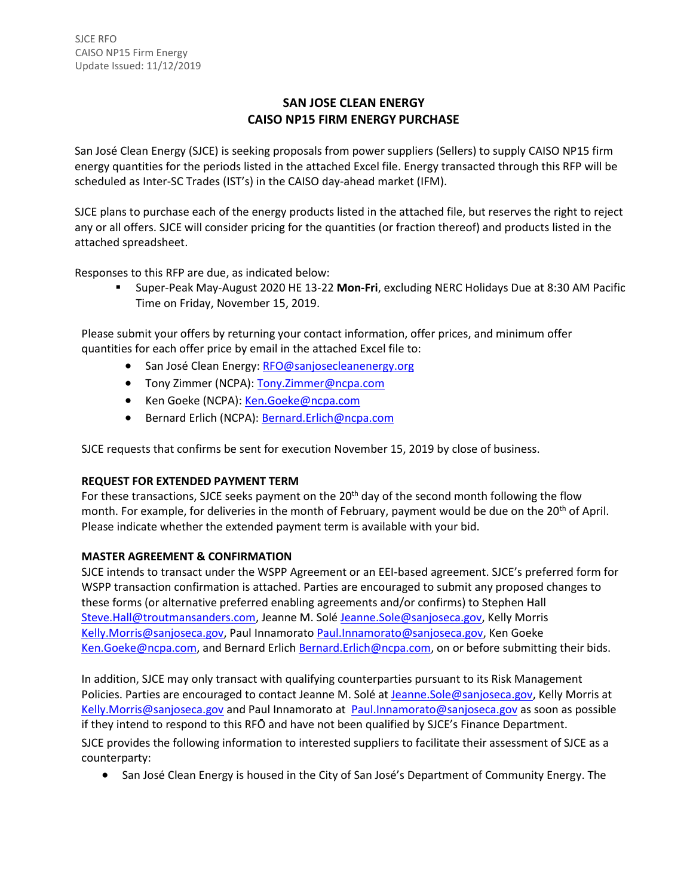# **SAN JOSE CLEAN ENERGY CAISO NP15 FIRM ENERGY PURCHASE**

San José Clean Energy (SJCE) is seeking proposals from power suppliers (Sellers) to supply CAISO NP15 firm energy quantities for the periods listed in the attached Excel file. Energy transacted through this RFP will be scheduled as Inter-SC Trades (IST's) in the CAISO day-ahead market (IFM).

SJCE plans to purchase each of the energy products listed in the attached file, but reserves the right to reject any or all offers. SJCE will consider pricing for the quantities (or fraction thereof) and products listed in the attached spreadsheet.

Responses to this RFP are due, as indicated below:

 Super-Peak May-August 2020 HE 13-22 **Mon-Fri**, excluding NERC Holidays Due at 8:30 AM Pacific Time on Friday, November 15, 2019.

Please submit your offers by returning your contact information, offer prices, and minimum offer quantities for each offer price by email in the attached Excel file to:

- San José Clean Energy: [RFO@sanjosecleanenergy.org](mailto:RFO@sanjosecleanenergy.org)
- Tony Zimmer (NCPA): [Tony.Zimmer@ncpa.com](mailto:Tony.Zimmer@ncpa.com)
- **Ken Goeke (NCPA):** [Ken.Goeke@ncpa.com](mailto:Ken.Goeke@ncpa.com)
- Bernard Erlich (NCPA): [Bernard.Erlich@ncpa.com](mailto:Bernard.Erlich@ncpa.com)

SJCE requests that confirms be sent for execution November 15, 2019 by close of business.

### **REQUEST FOR EXTENDED PAYMENT TERM**

For these transactions, SJCE seeks payment on the 20<sup>th</sup> day of the second month following the flow month. For example, for deliveries in the month of February, payment would be due on the 20<sup>th</sup> of April. Please indicate whether the extended payment term is available with your bid.

### **MASTER AGREEMENT & CONFIRMATION**

SJCE intends to transact under the WSPP Agreement or an EEI-based agreement. SJCE's preferred form for WSPP transaction confirmation is attached. Parties are encouraged to submit any proposed changes to these forms (or alternative preferred enabling agreements and/or confirms) to Stephen Hall [Steve.Hall@troutmansanders.com, J](mailto:Steve.Hall@troutmansanders.com)eanne M. Solé [Jeanne.Sole@sanjoseca.gov,](mailto:Jeanne.Sole@sanjoseca.gov) Kelly Morris [Kelly.Morris@sanjoseca.gov,](mailto:Kelly.Morris@sanjoseca.gov) Paul Innamorato [Paul.Innamorato@sanjoseca.gov,](mailto:Paul.Innamorato@sanjoseca.gov) Ken Goeke [Ken.Goeke@ncpa.com,](mailto:Ken.Goeke@ncpa.com) and Bernard Erlich [Bernard.Erlich@ncpa.com,](mailto:Bernard.Erlich@ncpa.com) on or before submitting their bids.

In addition, SJCE may only transact with qualifying counterparties pursuant to its Risk Management Policies. Parties are encouraged to contact Jeanne M. Solé at [Jeanne.Sole@sanjoseca.gov,](mailto:Jeanne.Sole@sanjoseca.gov) Kelly Morris at [Kelly.Morris@sanjoseca.gov](mailto:Kelly.Morris@sanjoseca.gov) and Paul Innamorato at [Paul.Innamorato@sanjoseca.gov](mailto:Paul.Innamorato@sanjoseca.gov) as soon as possible if they intend to respond to this RFO and have not been qualified by SJCE's Finance Department. SJCE provides the following information to interested suppliers to facilitate their assessment of SJCE as a counterparty:

• San José Clean Energy is housed in the City of San José's Department of Community Energy. The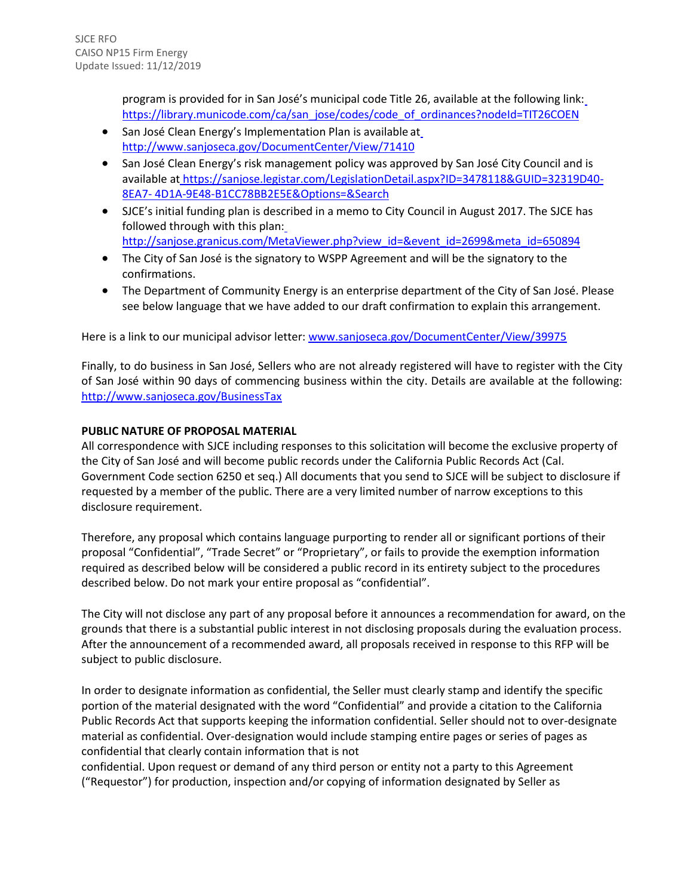program is provided for in San José's municipal code Title 26, available at the following link: [https://library.municode.com/ca/san\\_jose/codes/code\\_of\\_ordinances?nodeId=TIT26COEN](https://library.municode.com/ca/san_jose/codes/code_of_ordinances?nodeId=TIT26COEN)

- San José Clean Energy's Implementation Plan is available a[t](http://www.sanjoseca.gov/DocumentCenter/View/71410) <http://www.sanjoseca.gov/DocumentCenter/View/71410>
- San José Clean Energy's risk management policy was approved by San José City Council and is available at [https://sanjose.legistar.com/LegislationDetail.aspx?ID=3478118&GUID=32319D40-](https://sanjose.legistar.com/LegislationDetail.aspx?ID=3478118&GUID=32319D40-8EA7-4D1A-9E48-B1CC78BB2E5E&Options&Search) [8EA7-](https://sanjose.legistar.com/LegislationDetail.aspx?ID=3478118&GUID=32319D40-8EA7-4D1A-9E48-B1CC78BB2E5E&Options&Search) [4D1A-9E48-B1CC78BB2E5E&Options=&Search](https://sanjose.legistar.com/LegislationDetail.aspx?ID=3478118&GUID=32319D40-8EA7-4D1A-9E48-B1CC78BB2E5E&Options&Search)
- SJCE's initial funding plan is described in a memo to City Council in August 2017. The SJCE has followed through with this plan: [http://sanjose.granicus.com/MetaViewer.php?view\\_id=&event\\_id=2699&meta\\_id=650894](http://sanjose.granicus.com/MetaViewer.php?view_id&event_id=2699&meta_id=650894)
- The City of San José is the signatory to WSPP Agreement and will be the signatory to the confirmations.
- The Department of Community Energy is an enterprise department of the City of San José. Please see below language that we have added to our draft confirmation to explain this arrangement.

Here is a link to our municipal advisor letter[: www.sanjoseca.gov/DocumentCenter/View/39975](http://www.sanjoseca.gov/DocumentCenter/View/39975)

Finally, to do business in San José, Sellers who are not already registered will have to register with the City of San José within 90 days of commencing business within the city. Details are available at the following: <http://www.sanjoseca.gov/BusinessTax>

## **PUBLIC NATURE OF PROPOSAL MATERIAL**

All correspondence with SJCE including responses to this solicitation will become the exclusive property of the City of San José and will become public records under the California Public Records Act (Cal. Government Code section 6250 et seq.) All documents that you send to SJCE will be subject to disclosure if requested by a member of the public. There are a very limited number of narrow exceptions to this disclosure requirement.

Therefore, any proposal which contains language purporting to render all or significant portions of their proposal "Confidential", "Trade Secret" or "Proprietary", or fails to provide the exemption information required as described below will be considered a public record in its entirety subject to the procedures described below. Do not mark your entire proposal as "confidential".

The City will not disclose any part of any proposal before it announces a recommendation for award, on the grounds that there is a substantial public interest in not disclosing proposals during the evaluation process. After the announcement of a recommended award, all proposals received in response to this RFP will be subject to public disclosure.

In order to designate information as confidential, the Seller must clearly stamp and identify the specific portion of the material designated with the word "Confidential" and provide a citation to the California Public Records Act that supports keeping the information confidential. Seller should not to over-designate material as confidential. Over-designation would include stamping entire pages or series of pages as confidential that clearly contain information that is not

confidential. Upon request or demand of any third person or entity not a party to this Agreement ("Requestor") for production, inspection and/or copying of information designated by Seller as